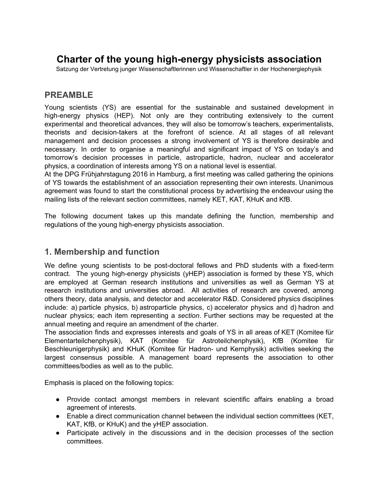# **Charter of the young highenergy physicists association**

Satzung der Vertretung junger Wissenschaftlerinnen und Wissenschaftler in der Hochenergiephysik

# **PREAMBLE**

Young scientists (YS) are essential for the sustainable and sustained development in high-energy physics (HEP). Not only are they contributing extensively to the current experimental and theoretical advances, they will also be tomorrow's teachers, experimentalists, theorists and decision-takers at the forefront of science. At all stages of all relevant management and decision processes a strong involvement of YS is therefore desirable and necessary. In order to organise a meaningful and significant impact of YS on today's and tomorrow's decision processes in particle, astroparticle, hadron, nuclear and accelerator physics, a coordination of interests among YS on a national level is essential.

At the DPG Frühjahrstagung 2016 in Hamburg, a first meeting was called gathering the opinions of YS towards the establishment of an association representing their own interests. Unanimous agreement was found to start the constitutional process by advertising the endeavour using the mailing lists of the relevant section committees, namely KET, KAT, KHuK and KfB.

The following document takes up this mandate defining the function, membership and regulations of the young high-energy physicists association.

#### **1. Membership and function**

We define young scientists to be post-doctoral fellows and PhD students with a fixed-term contract. The young high-energy physicists (yHEP) association is formed by these YS, which are employed at German research institutions and universities as well as German YS at research institutions and universities abroad. All activities of research are covered, among others theory, data analysis, and detector and accelerator R&D. Considered physics disciplines include: a) particle physics, b) astroparticle physics, c) accelerator physics and d) hadron and nuclear physics; each item representing a *section*. Further sections may be requested at the annual meeting and require an amendment of the charter.

The association finds and expresses interests and goals of YS in all areas of KET (Komitee für Elementarteilchenphysik), KAT (Komitee für Astroteilchenphysik), KfB (Komitee für Beschleunigerphysik) and KHuK (Komitee für Hadron- und Kernphysik) activities seeking the largest consensus possible. A management board represents the association to other committees/bodies as well as to the public.

Emphasis is placed on the following topics:

- Provide contact amongst members in relevant scientific affairs enabling a broad agreement of interests.
- Enable a direct communication channel between the individual section committees (KET, KAT, KfB, or KHuK) and the yHEP association.
- Participate actively in the discussions and in the decision processes of the section committees.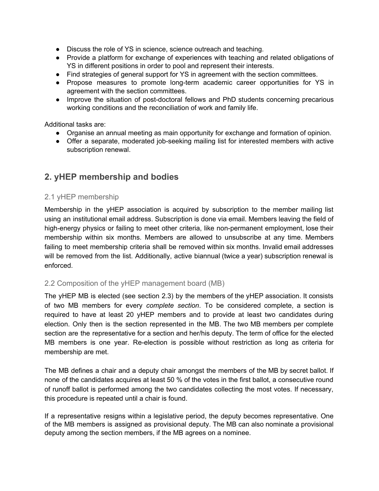- Discuss the role of YS in science, science outreach and teaching.
- Provide a platform for exchange of experiences with teaching and related obligations of YS in different positions in order to pool and represent their interests.
- Find strategies of general support for YS in agreement with the section committees.
- Propose measures to promote long-term academic career opportunities for YS in agreement with the section committees.
- Improve the situation of post-doctoral fellows and PhD students concerning precarious working conditions and the reconciliation of work and family life.

Additional tasks are:

- Organise an annual meeting as main opportunity for exchange and formation of opinion.
- Offer a separate, moderated job-seeking mailing list for interested members with active subscription renewal.

# **2. yHEP membership and bodies**

#### 2.1 yHEP membership

Membership in the yHEP association is acquired by subscription to the member mailing list using an institutional email address. Subscription is done via email. Members leaving the field of high-energy physics or failing to meet other criteria, like non-permanent employment, lose their membership within six months. Members are allowed to unsubscribe at any time. Members failing to meet membership criteria shall be removed within six months. Invalid email addresses will be removed from the list. Additionally, active biannual (twice a year) subscription renewal is enforced.

#### 2.2 Composition of the yHEP management board (MB)

The yHEP MB is elected (see section 2.3) by the members of the yHEP association. It consists of two MB members for every *complete section*. To be considered complete, a section is required to have at least 20 yHEP members and to provide at least two candidates during election. Only then is the section represented in the MB. The two MB members per complete section are the representative for a section and her/his deputy. The term of office for the elected MB members is one year. Re-election is possible without restriction as long as criteria for membership are met.

The MB defines a chair and a deputy chair amongst the members of the MB by secret ballot. If none of the candidates acquires at least 50 % of the votes in the first ballot, a consecutive round of runoff ballot is performed among the two candidates collecting the most votes. If necessary, this procedure is repeated until a chair is found.

If a representative resigns within a legislative period, the deputy becomes representative. One of the MB members is assigned as provisional deputy. The MB can also nominate a provisional deputy among the section members, if the MB agrees on a nominee.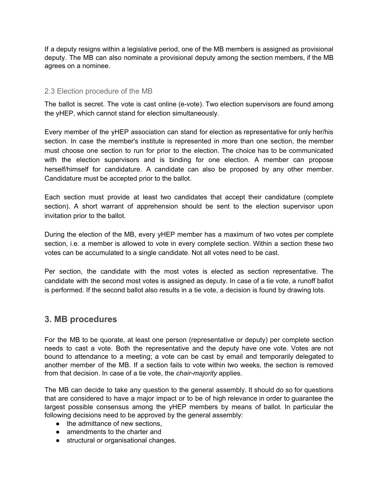If a deputy resigns within a legislative period, one of the MB members is assigned as provisional deputy. The MB can also nominate a provisional deputy among the section members, if the MB agrees on a nominee.

#### 2.3 Election procedure of the MB

The ballot is secret. The vote is cast online (e-vote). Two election supervisors are found among the yHEP, which cannot stand for election simultaneously.

Every member of the yHEP association can stand for election as representative for only her/his section. In case the member's institute is represented in more than one section, the member must choose one section to run for prior to the election. The choice has to be communicated with the election supervisors and is binding for one election. A member can propose herself/himself for candidature. A candidate can also be proposed by any other member. Candidature must be accepted prior to the ballot.

Each section must provide at least two candidates that accept their candidature (complete section). A short warrant of apprehension should be sent to the election supervisor upon invitation prior to the ballot.

During the election of the MB, every yHEP member has a maximum of two votes per complete section, i.e. a member is allowed to vote in every complete section. Within a section these two votes can be accumulated to a single candidate. Not all votes need to be cast.

Per section, the candidate with the most votes is elected as section representative. The candidate with the second most votes is assigned as deputy. In case of a tie vote, a runoff ballot is performed. If the second ballot also results in a tie vote, a decision is found by drawing lots.

## **3. MB procedures**

For the MB to be quorate, at least one person (representative or deputy) per complete section needs to cast a vote. Both the representative and the deputy have one vote. Votes are not bound to attendance to a meeting; a vote can be cast by email and temporarily delegated to another member of the MB. If a section fails to vote within two weeks, the section is removed from that decision. In case of a tie vote, the *chair-majority* applies.

The MB can decide to take any question to the general assembly. It should do so for questions that are considered to have a major impact or to be of high relevance in order to guarantee the largest possible consensus among the yHEP members by means of ballot. In particular the following decisions need to be approved by the general assembly:

- the admittance of new sections.
- amendments to the charter and
- structural or organisational changes.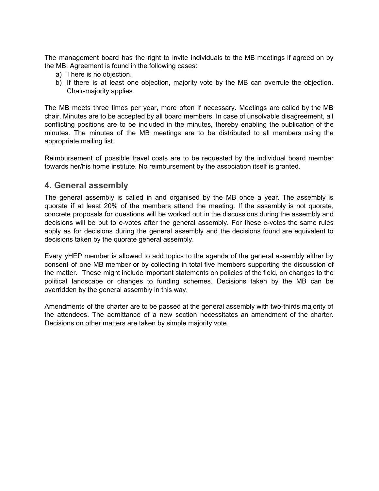The management board has the right to invite individuals to the MB meetings if agreed on by the MB. Agreement is found in the following cases:

- a) There is no objection.
- b) If there is at least one objection, majority vote by the MB can overrule the objection. Chair-majority applies.

The MB meets three times per year, more often if necessary. Meetings are called by the MB chair. Minutes are to be accepted by all board members. In case of unsolvable disagreement, all conflicting positions are to be included in the minutes, thereby enabling the publication of the minutes. The minutes of the MB meetings are to be distributed to all members using the appropriate mailing list.

Reimbursement of possible travel costs are to be requested by the individual board member towards her/his home institute. No reimbursement by the association itself is granted.

### **4. General assembly**

The general assembly is called in and organised by the MB once a year. The assembly is quorate if at least 20% of the members attend the meeting. If the assembly is not quorate, concrete proposals for questions will be worked out in the discussions during the assembly and decisions will be put to e-votes after the general assembly. For these e-votes the same rules apply as for decisions during the general assembly and the decisions found are equivalent to decisions taken by the quorate general assembly.

Every yHEP member is allowed to add topics to the agenda of the general assembly either by consent of one MB member or by collecting in total five members supporting the discussion of the matter. These might include important statements on policies of the field, on changes to the political landscape or changes to funding schemes. Decisions taken by the MB can be overridden by the general assembly in this way.

Amendments of the charter are to be passed at the general assembly with two-thirds majority of the attendees. The admittance of a new section necessitates an amendment of the charter. Decisions on other matters are taken by simple majority vote.